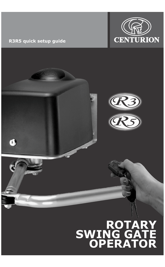#### **R3R5 quick setup guide**

 $\mathbf 0$ 





# **ROTARY SWING GATE OPERATOR**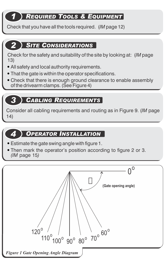### *1 REQUIRED TOOLS & EQUIPMENT*

Check that you have all the tools required. (*IM* page 12)

#### *2 SITE CONSIDERATIONS*

Check for the safety and suitability of the site by looking at: (*IM* page 13)

- All safety and local authority requirements.
- That the gate is within the operator specifications.
- Check that there is enough ground clearance to enable assembly of the drivearm clamps. (See Figure 4)

#### *3 CABLING REQUIREMENTS*

Consider all cabling requirements and routing as in Figure 9. (*IM* page 14)

#### *4 OPERATOR INSTALLATION*

- Estimate the gate swing angle with figure 1.
- Then mark the operator's position according to figure 2 or 3. *(IM* page 15*)*

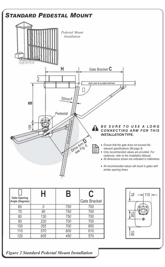

| <b>Gate Opening</b> | Н   | Β   | C            |
|---------------------|-----|-----|--------------|
| Angle (Degrees)     |     |     | Gate Bracket |
| 60                  |     | 750 | 700          |
| 70                  | 90  | 750 | 700          |
| 80                  | 130 | 750 | 700          |
| 90                  | 220 | 700 | 700          |
| 100                 | 355 | 700 | 650          |
| 110                 | 570 | 600 | 610          |
| 120                 | 605 | 450 | 570          |



#### *Figure 2 Standard Pedestal Mount Installation*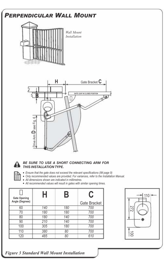

### *THIS INSTALLATION TYPE.*

- *Ensure that the gate does not exceed the relevant specifications (IM page 9)*
- *Only recommended values are provided. For variances, refer to the Installation Manual.*
- *All dimensions shown are indicated in millimetres.*
- *All recommended values will result in gates with similar opening times.*

| <b>Gate Opening</b><br>Angle (Degrees) | Η   | Β   | C<br>Gate Bracket |
|----------------------------------------|-----|-----|-------------------|
| 60                                     | 140 | 180 | 700               |
| 70                                     | 180 | 180 | 700               |
| 80                                     | 180 | 140 | 700               |
| 90                                     | 210 | 140 | 700               |
| 100                                    | 305 | 180 | 700               |
| 110                                    | 380 | 80  | 700               |
| 120                                    | 485 | 80  | 610               |



*Figure 3 Standard Wall Mount Installation*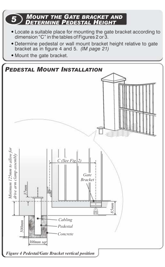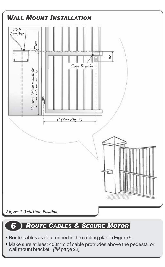

### *6 ROUTE CABLES & SECURE MOTOR*

- Route cables as determined in the cabling plan in Figure 9.
- Make sure at least 400mm of cable protrudes above the pedestal or wall mount bracket. *(IM* page 22*)*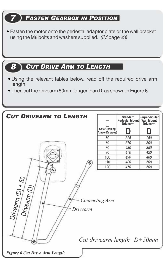### *7 FASTEN GEARBOX IN POSITION*

 Fasten the motor onto the pedestal adaptor plate or the wall bracket using the M8 bolts and washers supplied. *(IM* page 23*)*

### *8 CUT DRIVE ARM TO LENGTH*

- Using the relevant tables below, read off the required drive arm length.
- Then cut the drivearm 50mm longer than D, as shown in Figure 6.

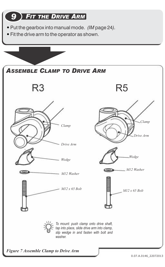# *9 FIT THE DRIVE ARM* Put the gearbox into manual mode. *(IM* page 24*).* Fit the drive arm to the operator as shown. *ASSEMBLE CLAMP TO DRIVE ARM* R<sub>3</sub> R5  *Clamp Clamp Drive Arm Drive Arm Wedge Wedge M12 Washer M12 Washer M12 x 65 Bolt M12 x 65 Bolt To mount: push clamp onto drive shaft, tap into place, slide drive arm into clamp, slip wedge in and fasten with bolt and washer.*

*Figure 7 Assemble Clamp to Drive Arm*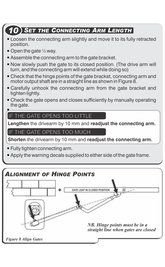

*NB. Hinge points must be in a straight line when gates are closed Figure 8 Align Gates*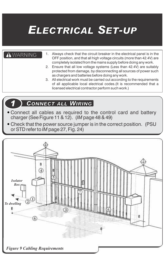# *ELECTRICAL SET-UP*

- **A** WARNING 1. Always check that the circuit breaker in the electrical panel is in the OFF position, and that all high voltage circuits (more than 42.4V) are completely isolated from the mains supply before doing any work.
	- 2. Ensure that all low voltage systems (Less than 42.4V) are suitably protected from damage, by disconnecting all sources of power such as chargers and batteries before doing any work.
	- 3. All electrical work must be carried out according to the requirements of all applicable local electrical codes.(It is recommended that a licensed electrical contractor perform such work.)

### *1 CONNECT ALL WIRING*

- Connect all cables as required to the control card and battery charger (See Figure 11 & 12). (*IM* page 48 & 49)
- Check that the power source jumper is in the correct position. (PSU or STD refer to *IM* page 27, Fig. 24)

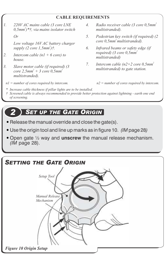#### **CABLE REQUIREMENTS**

*1. 220V AC mains cable (3 core LNE 2 0,5mm )\*†, via mains isolator switch Or*

> *Low voltage 16V AC battery charger 2 supply (2 core 1,5mm )†.*

- *2. Intercom cable (n1 + 6 core) to house.*
- *3. Slave motor cable (if required) (3*   $core\ 2,5mm^2+3\ core\ 0,5mm^2$ *multistranded).*
	-
- *<sup>2</sup>4. Radio receiver cable (3 core 0,5mm multistranded).*
- *5. Pedestrian key switch (if required) (2 2 core 0,5mm multistranded).*
- *6. Infrared beams or safety edge (if 2 required) (3 core 0,5mm multistranded)*
- *<sup>2</sup>7. Intercom cable (n2+2 core 0,5mm multistranded) to gate station.*

*n1 = number of cores required by intercom. n2 = number of cores required by intercom.*

- *\* Increase cable thickness if pillar lights are to be installed.*
- *† Screened cable is always recommended to provide better protection against lightning earth one end of screening.*

### *2 SET UP THE GATE ORIGIN*

- Release the manual override and close the gate(s).
- Use the origin tool and line up marks as in figure 10. *(IM* page 28*)*
- Open gate ½ way and **unscrew** the manual release mechanism. *(IM* page 28).

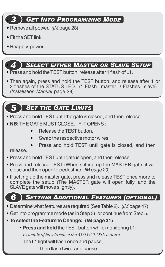### *3 GET INTO PROGRAMMING MODE*

- Remove all power. *(IM* page 28)
- Fit the SET link.

.

.

• Reapply power

### *4 SELECT EITHER MASTER OR SLAVE SETUP*

- Press and hold the TEST button, release after 1 flash of L1.
- Then again, press and hold the TEST button, and release after 1 or 2 flashes of the STATUS LED. (1 Flash=master, 2 Flashes=slave) (*Installation Manual* page 29)

## *5 SET THE GATE LIMITS*

- Press and hold TEST until the gate is closed, and then release.
- **NB:** THE GATE MUST CLOSE. IF IT OPFNS :
	- Release the TEST button.
	- Swap the respective motor wires.
	- Press and hold TEST until gate is closed, and then

release.

- Press and hold TEST until gate is open, and then release.
- Press and release TEST (When setting up the MASTER gate, it will close and then open to pedestrian. *IM page 29*).
- If setting up the master gate, press and release TEST once more to complete the setup (The MASTER gate will open fully, and the SLAVE gate will move slightly).

### *6 SETTING ADDITIONAL FEATURES (OPTIONAL)*

- Determine what features are required (See Table 2). (*IM* page 47)
- Get into programme mode (as in Step 3), or continue from Step 5.
- **To select the Feature to Change: (***IM* **page 31)**
	- **Press and hold** the TEST button while monitoring L1: *Example of how to select the AUTOCLOSE feature:*

The L1 light will flash once and pause,

Then flash twice and pause ...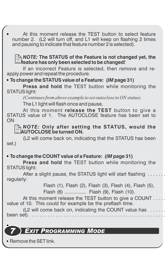At this moment release the TEST button to select feature number 2. (L2 will turn off, and L1 will keep on flashing 2 times and pausing to indicate that feature number 2 is selected).

#### *NOTE:* **The STATUS of the Feature is not changed yet, the feature has only been selected to be changed!**

If an incorrect Feature is selected, then remove and reapply power and repeat the procedure.

### **To change the STATUS value of a Feature: (***IM* **page 31)**

**Press and hold** the TEST button while monitoring the STATUS light:

*(Continues from above example to set outoclose to ON status).*

The L1 light will flash once and pause,

At this moment **release the TEST** button to give a STATUS value of 1. The AUTOCLOSE feature has been set to ON

### *NOTE:* **Only after setting the STATUS, would the AUTOCLOSE be turned ON.**

(L2 will come back on, indicating that the STATUS has been set.)

### **To change the COUNT value of a Feature: (***IM* **page 31)**

**Press and hold** the TEST button while monitoring the STATUS light:

After a slight pause, the STATUS light will start flashing regularly:

Flash (1), Flash (2), Flash (3), Flash (4), Flash (5),

Flash (6) ................ Flash (9), Flash (10).

At this moment release the TEST button to give a COUNT... value of 10. This could for example be the preflash time.

(L2 will come back on, indicating the COUNT value has

been set). . . . . . . . . . . . . . . .

### *7 EXIT PROGRAMMING MODE*

Remove the SET link.

.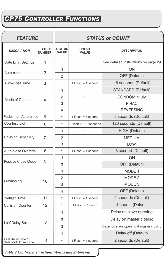# *CP75 CONTROLLER FUNCTIONS*

| <b>FEATURE</b>                            |                                 | <b>STATUS or COUNT</b>        |                              |                                         |  |
|-------------------------------------------|---------------------------------|-------------------------------|------------------------------|-----------------------------------------|--|
| <b>DESCRIPTION</b>                        | <b>FEATURE</b><br><b>NUMBER</b> | <b>STATUS</b><br><b>VALUE</b> | <b>COUNT</b><br><b>VALUE</b> | <b>DESCRIPTION</b>                      |  |
| <b>Gate Limit Settings</b>                | 1                               | $\overline{a}$                |                              | See detailed instructions on page 29    |  |
| Auto-close                                | 2                               | 1                             |                              | ON                                      |  |
|                                           |                                 | 2                             |                              | OFF (Default)                           |  |
| Auto-close Time                           | 3                               |                               | $1$ Flash = $1$ second       | 15 seconds (Default)                    |  |
|                                           | 4                               | 1                             | ä,                           | <b>STANDARD (Default)</b>               |  |
| Mode of Operation                         |                                 | $\mathcal{P}$                 |                              | <b>CONDOMINIUM</b>                      |  |
|                                           |                                 | 3                             |                              | <b>PIRAC</b>                            |  |
|                                           |                                 | 4                             |                              | <b>REVERSING</b>                        |  |
| Pedestrian Auto-close                     | 5                               | $\overline{a}$                | $1$ Flash = 1 second         | 5 seconds (Default)                     |  |
| Courtesy Light                            | 6                               | $\overline{a}$                | $1$ Flash = $10$ seconds     | 120 seconds (Default)                   |  |
| <b>Collision Sensitivity</b>              | 7                               | 1                             | L,                           | HIGH (Default)                          |  |
|                                           |                                 | 2                             |                              | <b>MEDIUM</b>                           |  |
|                                           |                                 | 3                             |                              | <b>LOW</b>                              |  |
| Auto-close Override                       | 8                               | $\overline{a}$                | $1$ Flash = 1 second         | 3 second (Default)                      |  |
| <b>Positive Close Mode</b>                | 9                               | 1                             |                              | ON                                      |  |
|                                           |                                 | 2                             |                              | OFF (Default)                           |  |
| Preflashing                               | 10                              | 1                             |                              | MODE 1                                  |  |
|                                           |                                 | 2                             |                              | MODE <sub>2</sub>                       |  |
|                                           |                                 | 3                             |                              | MODE <sub>3</sub>                       |  |
|                                           |                                 | 4                             |                              | OFF (Default)                           |  |
| Preflash Time                             | 11                              | $\overline{a}$                | $1$ Flash = 1 second         | 2 seconds (Default)                     |  |
| <b>Collision Counter</b>                  | 12                              | $\overline{a}$                | $1$ Flash = 1 count          | 4 counts (Default)                      |  |
| <b>Leaf Delay Select</b>                  | 13                              | 1                             |                              | Delay on slave opening                  |  |
|                                           |                                 | 2                             |                              | Delay on master closing                 |  |
|                                           |                                 | 3                             |                              | Delay on slave opening & master closing |  |
|                                           |                                 | 4                             |                              | Delay off (Default)                     |  |
| Leaf delay time /<br>Solenoid Strike Time | 14                              |                               | 1 Flash $=$ 1 second         | 2 seconds (Default)                     |  |

*Table 2 Controller Functions Menus and Submenus*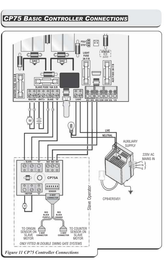### *CP75 BASIC CONTROLLER CONNECTIONS*